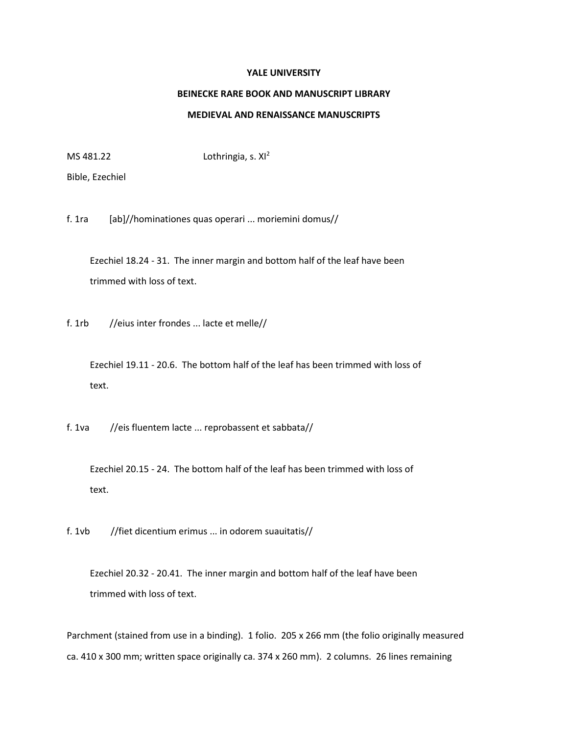## **YALE UNIVERSITY**

## **BEINECKE RARE BOOK AND MANUSCRIPT LIBRARY**

## **MEDIEVAL AND RENAISSANCE MANUSCRIPTS**

MS  $481.22$  Lothringia, s.  $XI^2$ 

Bible, Ezechiel

f. 1ra [ab]//hominationes quas operari ... moriemini domus//

 Ezechiel 18.24 - 31. The inner margin and bottom half of the leaf have been trimmed with loss of text.

f. 1rb //eius inter frondes ... lacte et melle//

 Ezechiel 19.11 - 20.6. The bottom half of the leaf has been trimmed with loss of text.

f. 1va //eis fluentem lacte ... reprobassent et sabbata//

 Ezechiel 20.15 - 24. The bottom half of the leaf has been trimmed with loss of text.

f. 1vb //fiet dicentium erimus ... in odorem suauitatis//

 Ezechiel 20.32 - 20.41. The inner margin and bottom half of the leaf have been trimmed with loss of text.

Parchment (stained from use in a binding). 1 folio. 205 x 266 mm (the folio originally measured ca. 410 x 300 mm; written space originally ca. 374 x 260 mm). 2 columns. 26 lines remaining